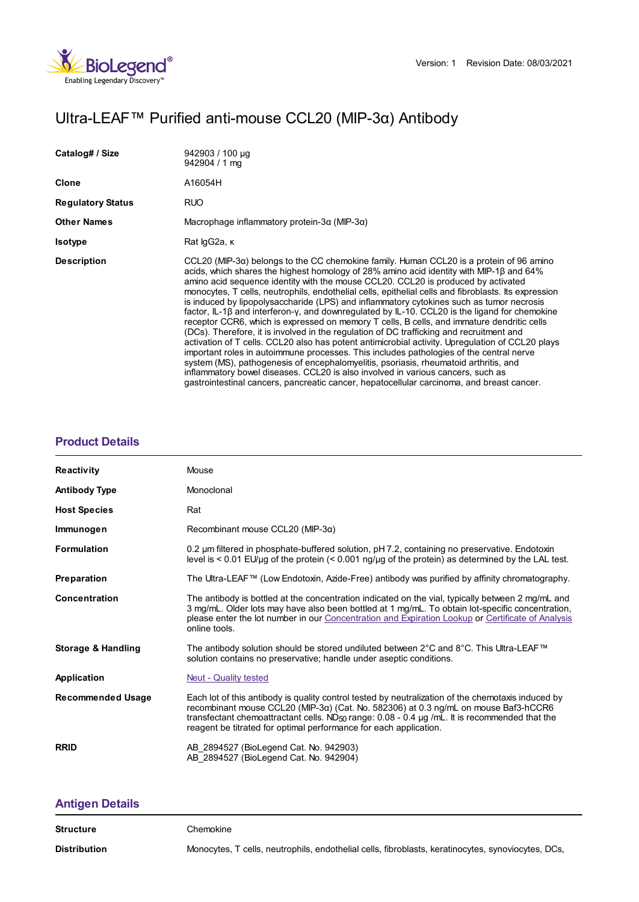

# Ultra-LEAF™ Purified anti-mouse CCL20 (MIP-3α) Antibody

| Catalog# / Size          | 942903 / 100 µg<br>$942904 / 1$ ma                                                                                                                                                                                                                                                                                                                                                                                                                                                                                                                                                                                                                                                                                                                                                                                                                                                                                                                                                                                                                                                                                                                                                                                                                            |
|--------------------------|---------------------------------------------------------------------------------------------------------------------------------------------------------------------------------------------------------------------------------------------------------------------------------------------------------------------------------------------------------------------------------------------------------------------------------------------------------------------------------------------------------------------------------------------------------------------------------------------------------------------------------------------------------------------------------------------------------------------------------------------------------------------------------------------------------------------------------------------------------------------------------------------------------------------------------------------------------------------------------------------------------------------------------------------------------------------------------------------------------------------------------------------------------------------------------------------------------------------------------------------------------------|
| Clone                    | A16054H                                                                                                                                                                                                                                                                                                                                                                                                                                                                                                                                                                                                                                                                                                                                                                                                                                                                                                                                                                                                                                                                                                                                                                                                                                                       |
| <b>Regulatory Status</b> | <b>RUO</b>                                                                                                                                                                                                                                                                                                                                                                                                                                                                                                                                                                                                                                                                                                                                                                                                                                                                                                                                                                                                                                                                                                                                                                                                                                                    |
| <b>Other Names</b>       | Macrophage inflammatory protein-3 $\alpha$ (MIP-3 $\alpha$ )                                                                                                                                                                                                                                                                                                                                                                                                                                                                                                                                                                                                                                                                                                                                                                                                                                                                                                                                                                                                                                                                                                                                                                                                  |
| <b>Isotype</b>           | Rat IgG2a, K                                                                                                                                                                                                                                                                                                                                                                                                                                                                                                                                                                                                                                                                                                                                                                                                                                                                                                                                                                                                                                                                                                                                                                                                                                                  |
| <b>Description</b>       | CCL20 (MIP-3 $\alpha$ ) belongs to the CC chemokine family. Human CCL20 is a protein of 96 amino<br>acids, which shares the highest homology of 28% amino acid identity with MIP-1 $\beta$ and 64%<br>amino acid sequence identity with the mouse CCL20. CCL20 is produced by activated<br>monocytes, T cells, neutrophils, endothelial cells, epithelial cells and fibroblasts. Its expression<br>is induced by lipopolysaccharide (LPS) and inflammatory cytokines such as tumor necrosis<br>factor, IL-1B and interferon-y, and downregulated by IL-10. CCL20 is the ligand for chemokine<br>receptor CCR6, which is expressed on memory T cells, B cells, and immature dendritic cells<br>(DCs). Therefore, it is involved in the regulation of DC trafficking and recruitment and<br>activation of T cells. CCL20 also has potent antimicrobial activity. Upregulation of CCL20 plays<br>important roles in autoimmune processes. This includes pathologies of the central nerve<br>system (MS), pathogenesis of encephalomyelitis, psoriasis, rheumatoid arthritis, and<br>inflammatory bowel diseases. CCL20 is also involved in various cancers, such as<br>gastrointestinal cancers, pancreatic cancer, hepatocellular carcinoma, and breast cancer. |

## **[Product](https://production-dynamicweb.biolegend.com/en-gb/products/ultra-leaf-purified-anti-mouse-ccl20-mip-3alpha-antibody-21091?pdf=true&displayInline=true&leftRightMargin=15&topBottomMargin=15&filename=Ultra-LEAF%EF%BF%BD%EF%BF%BD%EF%BF%BD Purified anti-mouse CCL20 (MIP-3%EF%BF%BD%EF%BF%BD) Antibody.pdf#productDetails) Details**

| <b>Reactivity</b>             | Mouse                                                                                                                                                                                                                                                                                                                                                                         |
|-------------------------------|-------------------------------------------------------------------------------------------------------------------------------------------------------------------------------------------------------------------------------------------------------------------------------------------------------------------------------------------------------------------------------|
| <b>Antibody Type</b>          | Monoclonal                                                                                                                                                                                                                                                                                                                                                                    |
| <b>Host Species</b>           | Rat                                                                                                                                                                                                                                                                                                                                                                           |
| Immunogen                     | Recombinant mouse CCL20 (MIP-3 $\alpha$ )                                                                                                                                                                                                                                                                                                                                     |
| <b>Formulation</b>            | 0.2 um filtered in phosphate-buffered solution, pH 7.2, containing no preservative. Endotoxin<br>level is $\leq 0.01$ EU/µg of the protein ( $\leq 0.001$ ng/µg of the protein) as determined by the LAL test.                                                                                                                                                                |
| Preparation                   | The Ultra-LEAF™ (Low Endotoxin, Azide-Free) antibody was purified by affinity chromatography.                                                                                                                                                                                                                                                                                 |
| <b>Concentration</b>          | The antibody is bottled at the concentration indicated on the vial, typically between 2 mg/mL and<br>3 mg/mL. Older lots may have also been bottled at 1 mg/mL. To obtain lot-specific concentration,<br>please enter the lot number in our Concentration and Expiration Lookup or Certificate of Analysis<br>online tools.                                                   |
| <b>Storage &amp; Handling</b> | The antibody solution should be stored undiluted between 2°C and 8°C. This Ultra-LEAF™<br>solution contains no preservative; handle under aseptic conditions.                                                                                                                                                                                                                 |
| Application                   | <b>Neut - Quality tested</b>                                                                                                                                                                                                                                                                                                                                                  |
| <b>Recommended Usage</b>      | Each lot of this antibody is quality control tested by neutralization of the chemotaxis induced by<br>recombinant mouse CCL20 (MIP-3a) (Cat. No. 582306) at 0.3 ng/mL on mouse Baf3-hCCR6<br>transfectant chemoattractant cells. ND <sub>50</sub> range: $0.08 - 0.4$ µg /mL. It is recommended that the<br>reagent be titrated for optimal performance for each application. |
| <b>RRID</b>                   | AB 2894527 (BioLegend Cat. No. 942903)<br>AB 2894527 (BioLegend Cat. No. 942904)                                                                                                                                                                                                                                                                                              |

## **[Antigen](https://production-dynamicweb.biolegend.com/en-gb/products/ultra-leaf-purified-anti-mouse-ccl20-mip-3alpha-antibody-21091?pdf=true&displayInline=true&leftRightMargin=15&topBottomMargin=15&filename=Ultra-LEAF%EF%BF%BD%EF%BF%BD%EF%BF%BD Purified anti-mouse CCL20 (MIP-3%EF%BF%BD%EF%BF%BD) Antibody.pdf#antigenDetails) Details**

Distribution Monocytes, T cells, neutrophils, endothelial cells, fibroblasts, keratinocytes, synoviocytes, DCs,